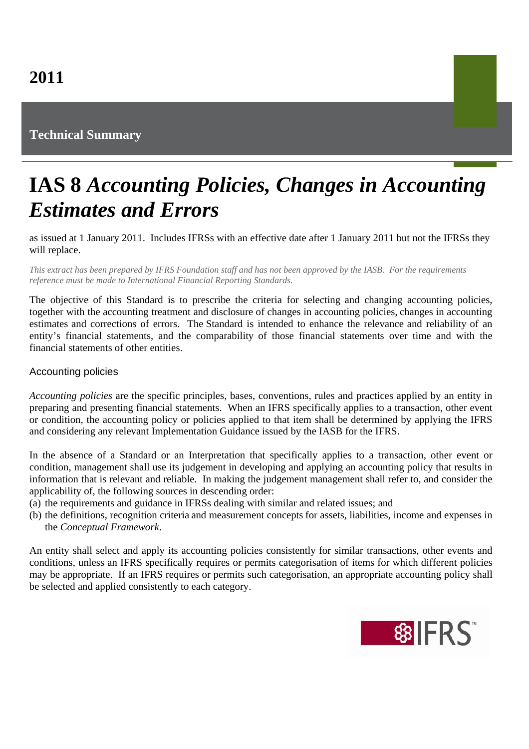## **Technical Summary**

# **IAS 8** *Accounting Policies, Changes in Accounting Estimates and Errors*

as issued at 1 January 2011. Includes IFRSs with an effective date after 1 January 2011 but not the IFRSs they will replace.

*This extract has been prepared by IFRS Foundation staff and has not been approved by the IASB. For the requirements reference must be made to International Financial Reporting Standards.*

The objective of this Standard is to prescribe the criteria for selecting and changing accounting policies, together with the accounting treatment and disclosure of changes in accounting policies, changes in accounting estimates and corrections of errors. The Standard is intended to enhance the relevance and reliability of an entity's financial statements, and the comparability of those financial statements over time and with the financial statements of other entities.

#### Accounting policies

*Accounting policies* are the specific principles, bases, conventions, rules and practices applied by an entity in preparing and presenting financial statements. When an IFRS specifically applies to a transaction, other event or condition, the accounting policy or policies applied to that item shall be determined by applying the IFRS and considering any relevant Implementation Guidance issued by the IASB for the IFRS.

In the absence of a Standard or an Interpretation that specifically applies to a transaction, other event or condition, management shall use its judgement in developing and applying an accounting policy that results in information that is relevant and reliable. In making the judgement management shall refer to, and consider the applicability of, the following sources in descending order:

- (a) the requirements and guidance in IFRSs dealing with similar and related issues; and
- (b) the definitions, recognition criteria and measurement concepts for assets, liabilities, income and expenses in the *Conceptual Framework*.

An entity shall select and apply its accounting policies consistently for similar transactions, other events and conditions, unless an IFRS specifically requires or permits categorisation of items for which different policies may be appropriate. If an IFRS requires or permits such categorisation, an appropriate accounting policy shall be selected and applied consistently to each category.

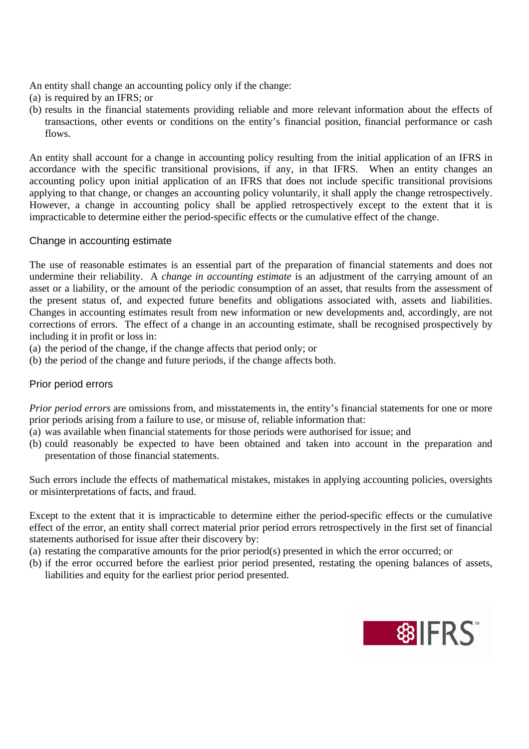An entity shall change an accounting policy only if the change:

- (a) is required by an IFRS; or
- (b) results in the financial statements providing reliable and more relevant information about the effects of transactions, other events or conditions on the entity's financial position, financial performance or cash flows.

An entity shall account for a change in accounting policy resulting from the initial application of an IFRS in accordance with the specific transitional provisions, if any, in that IFRS. When an entity changes an accounting policy upon initial application of an IFRS that does not include specific transitional provisions applying to that change, or changes an accounting policy voluntarily, it shall apply the change retrospectively. However, a change in accounting policy shall be applied retrospectively except to the extent that it is impracticable to determine either the period-specific effects or the cumulative effect of the change.

#### Change in accounting estimate

The use of reasonable estimates is an essential part of the preparation of financial statements and does not undermine their reliability. A *change in accounting estimate* is an adjustment of the carrying amount of an asset or a liability, or the amount of the periodic consumption of an asset, that results from the assessment of the present status of, and expected future benefits and obligations associated with, assets and liabilities. Changes in accounting estimates result from new information or new developments and, accordingly, are not corrections of errors. The effect of a change in an accounting estimate, shall be recognised prospectively by including it in profit or loss in:

- (a) the period of the change, if the change affects that period only; or
- (b) the period of the change and future periods, if the change affects both.

### Prior period errors

*Prior period errors* are omissions from, and misstatements in, the entity's financial statements for one or more prior periods arising from a failure to use, or misuse of, reliable information that:

- (a) was available when financial statements for those periods were authorised for issue; and
- (b) could reasonably be expected to have been obtained and taken into account in the preparation and presentation of those financial statements.

Such errors include the effects of mathematical mistakes, mistakes in applying accounting policies, oversights or misinterpretations of facts, and fraud.

Except to the extent that it is impracticable to determine either the period-specific effects or the cumulative effect of the error, an entity shall correct material prior period errors retrospectively in the first set of financial statements authorised for issue after their discovery by:

(a) restating the comparative amounts for the prior period(s) presented in which the error occurred; or

(b) if the error occurred before the earliest prior period presented, restating the opening balances of assets, liabilities and equity for the earliest prior period presented.